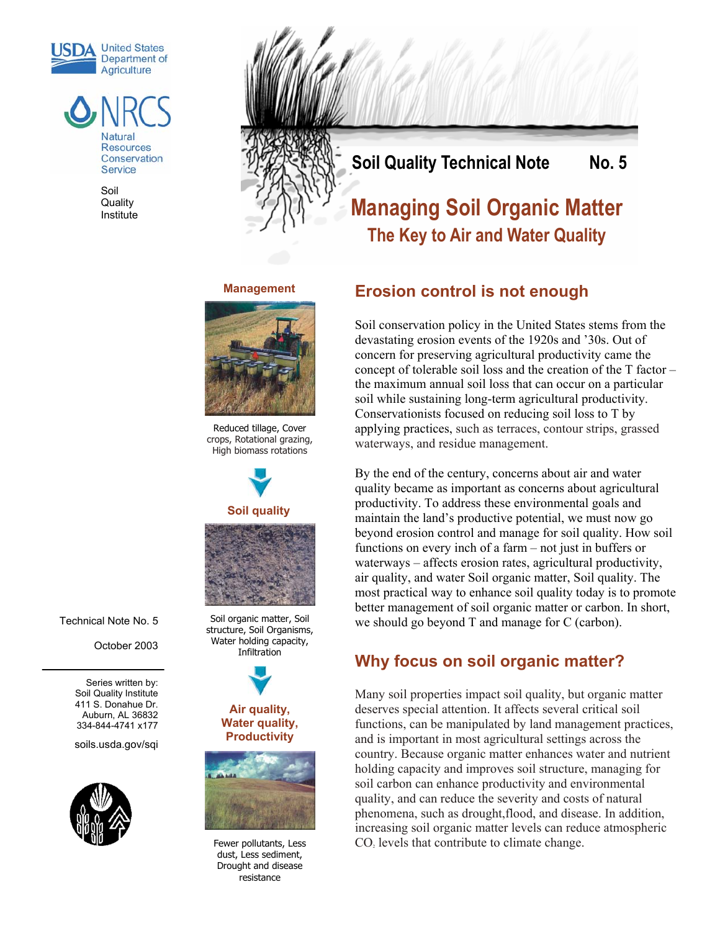



Soil **Quality Institute** 



# **Erosion control is not enough**

Soil conservation policy in the United States stems from the devastating erosion events of the 1920s and '30s. Out of concern for preserving agricultural productivity came the concept of tolerable soil loss and the creation of the T factor – the maximum annual soil loss that can occur on a particular soil while sustaining long-term agricultural productivity. Conservationists focused on reducing soil loss to T by applying practices, such as terraces, contour strips, grassed waterways, and residue management.

By the end of the century, concerns about air and water quality became as important as concerns about agricultural productivity. To address these environmental goals and maintain the land's productive potential, we must now go beyond erosion control and manage for soil quality. How soil functions on every inch of a farm – not just in buffers or waterways – affects erosion rates, agricultural productivity, air quality, and water Soil organic matter, Soil quality. The most practical way to enhance soil quality today is to promote better management of soil organic matter or carbon. In short, we should go beyond T and manage for C (carbon).

### **Why focus on soil organic matter?**

Many soil properties impact soil quality, but organic matter deserves special attention. It affects several critical soil functions, can be manipulated by land management practices, and is important in most agricultural settings across the country. Because organic matter enhances water and nutrient holding capacity and improves soil structure, managing for soil carbon can enhance productivity and environmental quality, and can reduce the severity and costs of natural phenomena, such as drought,flood, and disease. In addition, increasing soil organic matter levels can reduce atmospheric  $CO<sub>2</sub>$  levels that contribute to climate change.

**Management**



Reduced tillage, Cover crops, Rotational grazing, High biomass rotations



Technical Note No. 5

October 2003

Series written by: Soil Quality Institute 411 S. Donahue Dr. Auburn, AL 36832 334-844-4741 x177

soils.usda.gov/sqi



Soil organic matter, Soil structure, Soil Organisms, Water holding capacity, **Infiltration** 







Fewer pollutants, Less dust, Less sediment, Drought and disease resistance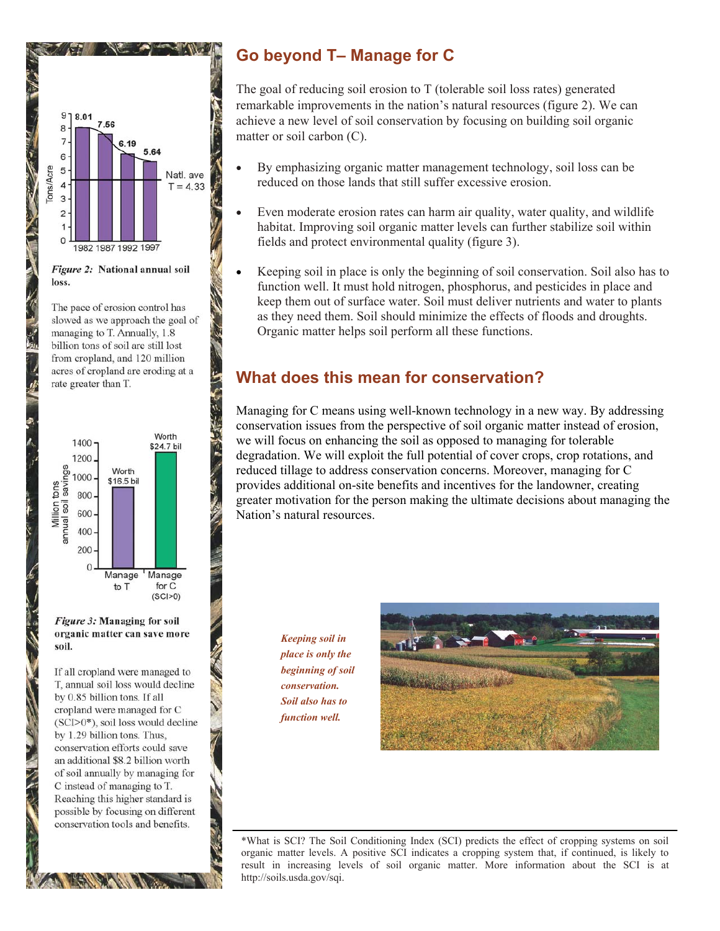

Figure 2: National annual soil loss.

The pace of erosion control has slowed as we approach the goal of managing to T. Annually, 1.8 billion tons of soil are still lost from cropland, and 120 million acres of cropland are eroding at a rate greater than T.

**1 インポート い** 

 $\frac{1}{2}$ 



Figure 3: Managing for soil organic matter can save more soil.

If all cropland were managed to T, annual soil loss would decline by 0.85 billion tons. If all cropland were managed for C  $(SCI>0^*)$ , soil loss would decline by 1.29 billion tons. Thus, conservation efforts could save an additional \$8.2 billion worth of soil annually by managing for C instead of managing to T. Reaching this higher standard is possible by focusing on different conservation tools and benefits.

# **Go beyond T– Manage for C**

The goal of reducing soil erosion to T (tolerable soil loss rates) generated remarkable improvements in the nation's natural resources (figure 2). We can achieve a new level of soil conservation by focusing on building soil organic matter or soil carbon (C).

- By emphasizing organic matter management technology, soil loss can be reduced on those lands that still suffer excessive erosion.
- Even moderate erosion rates can harm air quality, water quality, and wildlife habitat. Improving soil organic matter levels can further stabilize soil within fields and protect environmental quality (figure 3).
- Keeping soil in place is only the beginning of soil conservation. Soil also has to function well. It must hold nitrogen, phosphorus, and pesticides in place and keep them out of surface water. Soil must deliver nutrients and water to plants as they need them. Soil should minimize the effects of floods and droughts. Organic matter helps soil perform all these functions.

### **What does this mean for conservation?**

Managing for C means using well-known technology in a new way. By addressing conservation issues from the perspective of soil organic matter instead of erosion, we will focus on enhancing the soil as opposed to managing for tolerable degradation. We will exploit the full potential of cover crops, crop rotations, and reduced tillage to address conservation concerns. Moreover, managing for C provides additional on-site benefits and incentives for the landowner, creating greater motivation for the person making the ultimate decisions about managing the Nation's natural resources.

> *Keeping soil in place is only the beginning of soil conservation. Soil also has to function well.*



\*What is SCI? The Soil Conditioning Index (SCI) predicts the effect of cropping systems on soil organic matter levels. A positive SCI indicates a cropping system that, if continued, is likely to result in increasing levels of soil organic matter. More information about the SCI is at http://soils.usda.gov/sqi.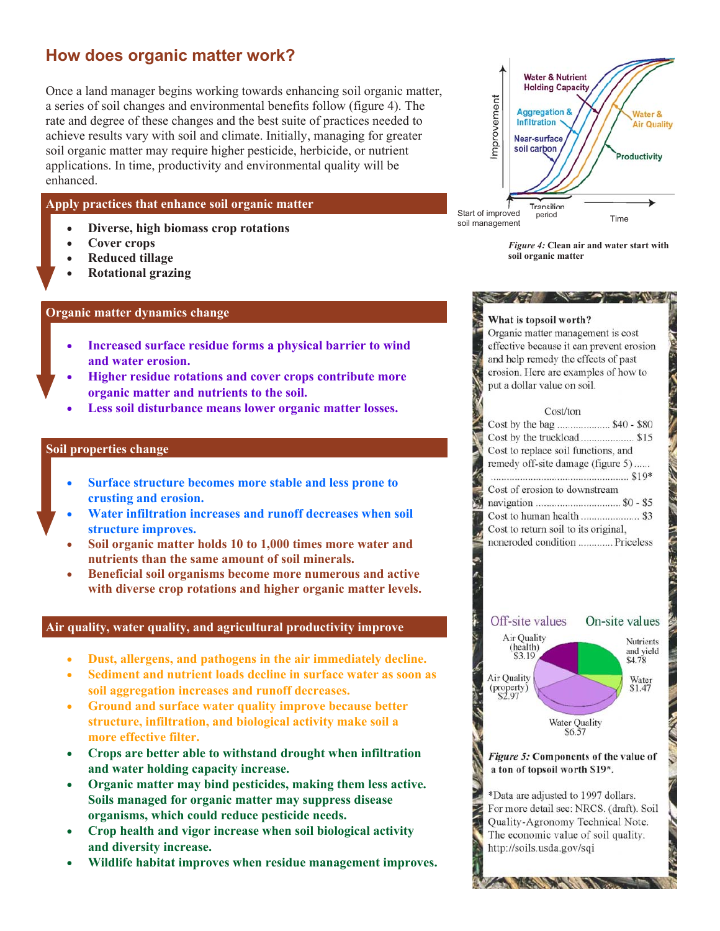### **How does organic matter work?**

Once a land manager begins working towards enhancing soil organic matter, a series of soil changes and environmental benefits follow (figure 4). The rate and degree of these changes and the best suite of practices needed to achieve results vary with soil and climate. Initially, managing for greater soil organic matter may require higher pesticide, herbicide, or nutrient applications. In time, productivity and environmental quality will be enhanced.

#### **Apply practices that enhance soil organic matter**

- **Diverse, high biomass crop rotations**
- **Cover crops**
- **Reduced tillage**
- **Rotational grazing**

#### **Organic matter dynamics change**

- **Increased surface residue forms a physical barrier to wind and water erosion.**
- **Higher residue rotations and cover crops contribute more organic matter and nutrients to the soil.**
- **Less soil disturbance means lower organic matter losses.**

#### **Soil properties change**

- **Surface structure becomes more stable and less prone to crusting and erosion.**
- **Water infiltration increases and runoff decreases when soil structure improves.**
	- **Soil organic matter holds 10 to 1,000 times more water and nutrients than the same amount of soil minerals.**
- **Beneficial soil organisms become more numerous and active with diverse crop rotations and higher organic matter levels.**

#### **Air quality, water quality, and agricultural productivity improve**

- **Dust, allergens, and pathogens in the air immediately decline.**
- **Sediment and nutrient loads decline in surface water as soon as soil aggregation increases and runoff decreases.**
- **Ground and surface water quality improve because better structure, infiltration, and biological activity make soil a more effective filter.**
- **Crops are better able to withstand drought when infiltration and water holding capacity increase.**
- **Organic matter may bind pesticides, making them less active. Soils managed for organic matter may suppress disease organisms, which could reduce pesticide needs.**
- **Crop health and vigor increase when soil biological activity and diversity increase.**
- **Wildlife habitat improves when residue management improves.**



*Figure 4:* **Clean air and water start with soil organic matter**

The State of the Council of the Council of the Council of the Council of the Council of the Council of the Council of the Council of the Council of the Council of the Council of the Council of the Council of the Council of

こうこく きょう

**CONTRACTOR** 

#### What is topsoil worth?

Organic matter management is cost effective because it can prevent erosion and help remedy the effects of past erosion. Here are examples of how to put a dollar value on soil.

#### Cost/ton

| Cost by the bag  \$40 - \$80         |
|--------------------------------------|
|                                      |
| Cost to replace soil functions, and  |
| remedy off-site damage (figure 5)    |
|                                      |
| Cost of erosion to downstream        |
|                                      |
|                                      |
| Cost to return soil to its original. |
| noneroded condition  Priceless       |
|                                      |



Figure 5: Components of the value of a ton of topsoil worth \$19\*.

\*Data are adjusted to 1997 dollars. For more detail see: NRCS. (draft). Soil Quality-Agronomy Technical Note. The economic value of soil quality. http://soils.usda.gov/sqi

THE STATE OF THE PARTY

Z